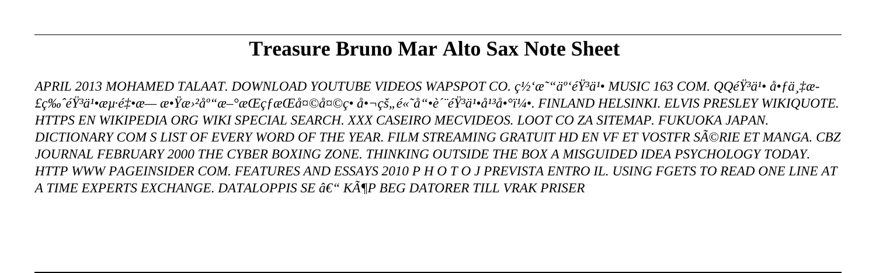# **Treasure Bruno Mar Alto Sax Note Sheet**

*APRIL 2013 MOHAMED TALAAT. DOWNLOAD YOUTUBE VIDEOS WAPSPOT CO. c<sup>1/2'</sup>a<sup>2"</sup>a<sup>2</sup>'é<sup>73</sup>a<sup>1</sup> MUSIC 163 COM. QQéŸ<sup>3</sup>a<sup>1</sup> å fa. ta-*£ç‰<sup>^</sup>éŸ<sup>3</sup>ä<sup>1</sup>•海釕æ— æ•Ÿæ›<sup>2</sup>库æ–°æŒçfæŒå¤©å¤©ç• 啬çš,,é«~å"•è^¨éŸ<sup>3</sup>ä<sup>1</sup>•å<sup>13</sup>啰5. FINLAND HELSINKI. ELVIS PRESLEY WIKIQUOTE. *HTTPS EN WIKIPEDIA ORG WIKI SPECIAL SEARCH. XXX CASEIRO MECVIDEOS. LOOT CO ZA SITEMAP. FUKUOKA JAPAN. DICTIONARY COM S LIST OF EVERY WORD OF THE YEAR. FILM STREAMING GRATUIT HD EN VF ET VOSTFR SéRIE ET MANGA. CBZ JOURNAL FEBRUARY 2000 THE CYBER BOXING ZONE. THINKING OUTSIDE THE BOX A MISGUIDED IDEA PSYCHOLOGY TODAY. HTTP WWW PAGEINSIDER COM. FEATURES AND ESSAYS 2010 P H O T O J PREVISTA ENTRO IL. USING FGETS TO READ ONE LINE AT A TIME EXPERTS EXCHANGE. DATALOPPIS SE – KöP BEG DATORER TILL VRAK PRISER*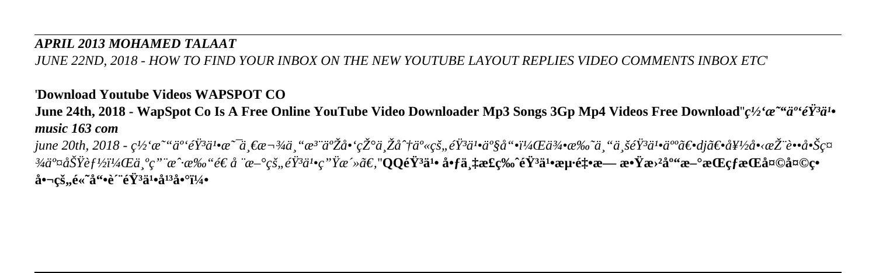#### *APRIL 2013 MOHAMED TALAAT*

*JUNE 22ND, 2018 - HOW TO FIND YOUR INBOX ON THE NEW YOUTUBE LAYOUT REPLIES VIDEO COMMENTS INBOX ETC*'

### '**Download Youtube Videos WAPSPOT CO**

**June 24th, 2018 - WapSpot Co Is A Free Online YouTube Video Downloader Mp3 Songs 3Gp Mp4 Videos Free Download''** $c\frac{1}{2}$ ' $\alpha$ <sup>-" $a$ '</sup>' $e\gamma$ <sup>3</sup> $a$ ''<sup></sup> *music 163 com*

*june 20th, 2018 - 网易云音乕是一款专注于啑现与分享的音乕产哕,侕托专业音乕人〕dj〕好啋推蕕啊ç¤ ¾äº¤åŠŸèƒ½ï¼Œä¸ºç"¨æˆ·æ‰"é€ å ¨æ–°çš"音乕ç"Ÿæ´»ã€'*''**QQ音乕 啃万æ£ç‰ˆéŸ³ä¹•æµ·é‡•æ— æ•Ÿæ›²åº"æ–°æŒçƒæŒå¤©å¤©ç•** 啬çš,,é«~å"•è^¨éŸ<sup>3</sup>ä<sup>1</sup>•å<sup>13</sup>啰5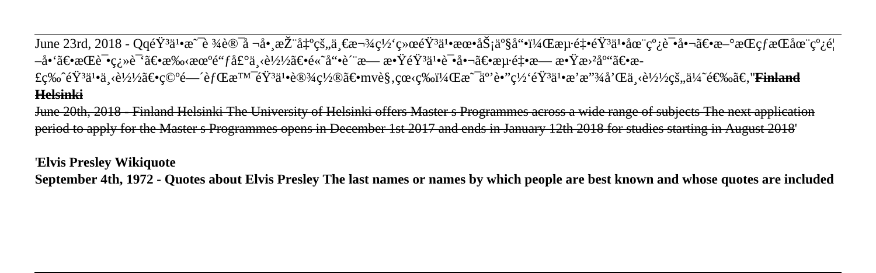June 23rd, 2018 - QqéŸ<sup>3</sup>ä<sup>1</sup>•æ<sup>∼</sup>è ¾è®¯å ¬å•¸æŽ¨å‡°çš,,一款网络éŸ<sup>3</sup>ä<sup>1</sup>•朕务ä°§å"•,æµ∙釕éŸ<sup>3</sup>ä<sup>1</sup>•在簿试啬〕æ–°æŒcfæŒåœ¨ç°¿é¦ –å•'〕æŒè¯•翻译〕手朰é"ƒå£°ä¸‹è½½ã€•é«~å"•è´¨æ— æ•ŸéŸ¾ì•试啬〕æu·é‡•æ— æ•Ÿæ›<sup>2</sup>库〕æ-£ç‰^éŸ<sup>3</sup>ä<sup>1</sup>•ä «è½½ã€•ç©°é—^èfŒæ™eŸ3ä1•设置〕mvè§,眫ç‰ï¼Œæ~ä°'è•"ç½'éŸ3ä1•æ'æ"?¥å'Œä «è½½çš"ä¼~选ã<del>Œinland</del> **Helsinki**

June 20th, 2018 - Finland Helsinki The University of Helsinki offers Master s Programmes across a wide range of subjects The next application period to apply for the Master s Programmes opens in December 1st 2017 and ends in January 12th 2018 for studies starting in August 2018'

'**Elvis Presley Wikiquote**

**September 4th, 1972 - Quotes about Elvis Presley The last names or names by which people are best known and whose quotes are included**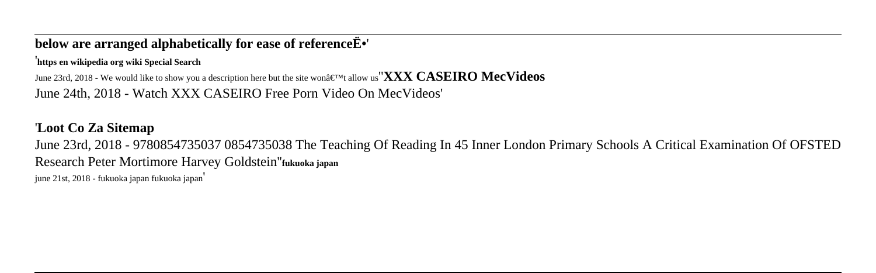#### **below are arranged alphabetically for ease of reference**  $\ddot{E}$ **<sup>\*</sup>'**

'**https en wikipedia org wiki Special Search**

June 23rd, 2018 - We would like to show you a description here but the site won $\hat{a} \in \mathbb{N}$  allow us<sup>"</sup>**XXX CASEIRO MecVideos** June 24th, 2018 - Watch XXX CASEIRO Free Porn Video On MecVideos'

## '**Loot Co Za Sitemap**

June 23rd, 2018 - 9780854735037 0854735038 The Teaching Of Reading In 45 Inner London Primary Schools A Critical Examination Of OFSTED Research Peter Mortimore Harvey Goldstein''**fukuoka japan**

june 21st, 2018 - fukuoka japan fukuoka japan'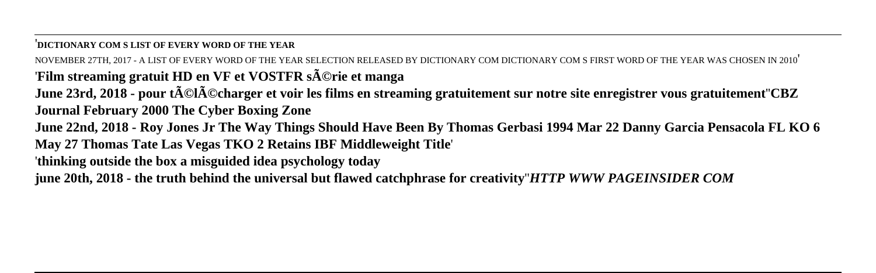'**DICTIONARY COM S LIST OF EVERY WORD OF THE YEAR**

NOVEMBER 27TH, 2017 - A LIST OF EVERY WORD OF THE YEAR SELECTION RELEASED BY DICTIONARY COM DICTIONARY COM S FIRST WORD OF THE YEAR WAS CHOSEN IN 2010' 'Film streaming gratuit HD en VF et VOSTFR s**Ã**©rie et manga

**June 23rd, 2018 - pour télécharger et voir les films en streaming gratuitement sur notre site enregistrer vous gratuitement**''**CBZ Journal February 2000 The Cyber Boxing Zone**

**June 22nd, 2018 - Roy Jones Jr The Way Things Should Have Been By Thomas Gerbasi 1994 Mar 22 Danny Garcia Pensacola FL KO 6 May 27 Thomas Tate Las Vegas TKO 2 Retains IBF Middleweight Title**'

'**thinking outside the box a misguided idea psychology today**

**june 20th, 2018 - the truth behind the universal but flawed catchphrase for creativity**''*HTTP WWW PAGEINSIDER COM*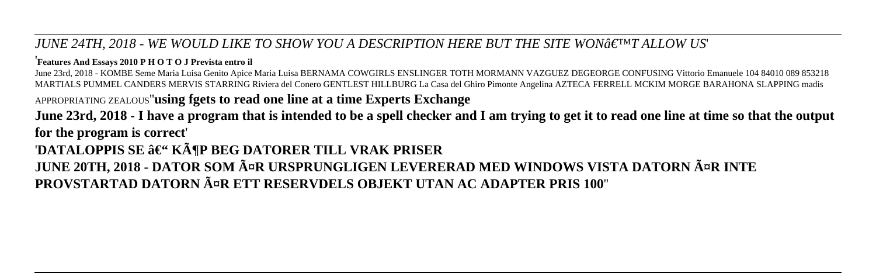*JUNE 24TH, 2018 - WE WOULD LIKE TO SHOW YOU A DESCRIPTION HERE BUT THE SITE WONGENT ALLOW US'* 

'**Features And Essays 2010 P H O T O J Prevista entro il**

June 23rd, 2018 - KOMBE Seme Maria Luisa Genito Apice Maria Luisa BERNAMA COWGIRLS ENSLINGER TOTH MORMANN VAZGUEZ DEGEORGE CONFUSING Vittorio Emanuele 104 84010 089 853218 MARTIALS PUMMEL CANDERS MERVIS STARRING Riviera del Conero GENTLEST HILLBURG La Casa del Ghiro Pimonte Angelina AZTECA FERRELL MCKIM MORGE BARAHONA SLAPPING madis APPROPRIATING ZEALOUS''**using fgets to read one line at a time Experts Exchange**

**June 23rd, 2018 - I have a program that is intended to be a spell checker and I am trying to get it to read one line at time so that the output for the program is correct**' 'DATALOPPIS SE â€" KöP BEG DATORER TILL VRAK PRISER **JUNE 20TH, 2018 - DATOR SOM ĤR URSPRUNGLIGEN LEVERERAD MED WINDOWS VISTA DATORN ĤR INTE PROVSTARTAD DATORN äR ETT RESERVDELS OBJEKT UTAN AC ADAPTER PRIS 100**''